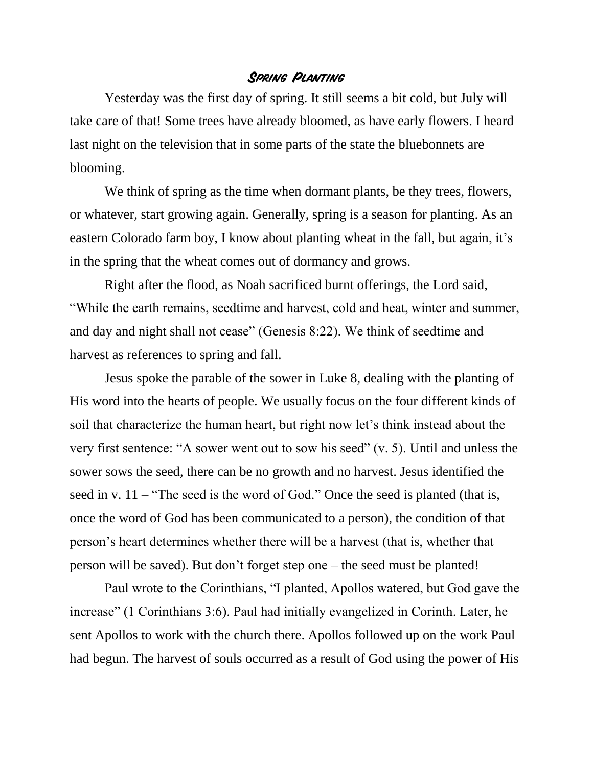## **Spring Planting**

Yesterday was the first day of spring. It still seems a bit cold, but July will take care of that! Some trees have already bloomed, as have early flowers. I heard last night on the television that in some parts of the state the bluebonnets are blooming.

We think of spring as the time when dormant plants, be they trees, flowers, or whatever, start growing again. Generally, spring is a season for planting. As an eastern Colorado farm boy, I know about planting wheat in the fall, but again, it's in the spring that the wheat comes out of dormancy and grows.

Right after the flood, as Noah sacrificed burnt offerings, the Lord said, "While the earth remains, seedtime and harvest, cold and heat, winter and summer, and day and night shall not cease" (Genesis 8:22). We think of seedtime and harvest as references to spring and fall.

Jesus spoke the parable of the sower in Luke 8, dealing with the planting of His word into the hearts of people. We usually focus on the four different kinds of soil that characterize the human heart, but right now let's think instead about the very first sentence: "A sower went out to sow his seed" (v. 5). Until and unless the sower sows the seed, there can be no growth and no harvest. Jesus identified the seed in v.  $11 -$  "The seed is the word of God." Once the seed is planted (that is, once the word of God has been communicated to a person), the condition of that person's heart determines whether there will be a harvest (that is, whether that person will be saved). But don't forget step one – the seed must be planted!

Paul wrote to the Corinthians, "I planted, Apollos watered, but God gave the increase" (1 Corinthians 3:6). Paul had initially evangelized in Corinth. Later, he sent Apollos to work with the church there. Apollos followed up on the work Paul had begun. The harvest of souls occurred as a result of God using the power of His